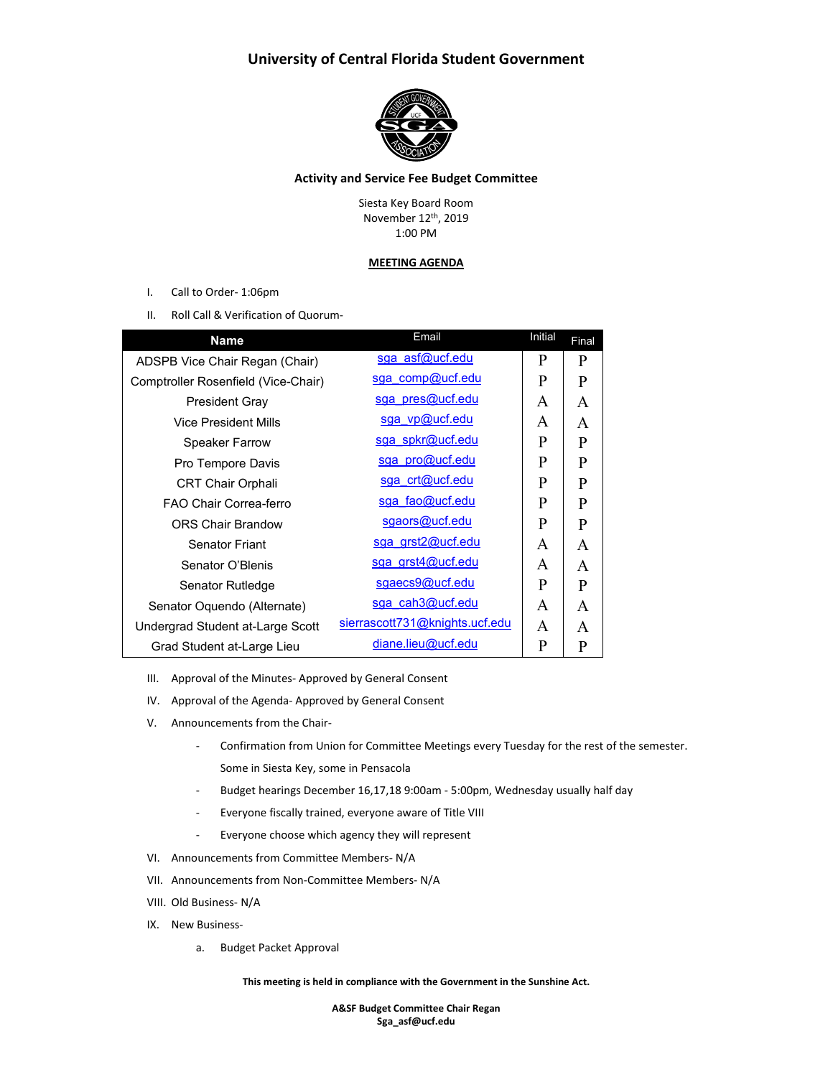# **University of Central Florida Student Government**



## **Activity and Service Fee Budget Committee**

Siesta Key Board Room November 12th, 2019 1:00 PM

### **MEETING AGENDA**

- I. Call to Order- 1:06pm
- II. Roll Call & Verification of Quorum-

| <b>Name</b>                         | Email                          | Initial      | Final        |
|-------------------------------------|--------------------------------|--------------|--------------|
| ADSPB Vice Chair Regan (Chair)      | sga asf@ucf.edu                | P            | P            |
| Comptroller Rosenfield (Vice-Chair) | sga comp@ucf.edu               | P            | P            |
| <b>President Gray</b>               | sga pres@ucf.edu               | A            | A            |
| <b>Vice President Mills</b>         | sga vp@ucf.edu                 | A            | A            |
| <b>Speaker Farrow</b>               | sga spkr@ucf.edu               | P            | P            |
| Pro Tempore Davis                   | sga pro@ucf.edu                | P            | P            |
| <b>CRT Chair Orphali</b>            | sga crt@ucf.edu                | P            | P            |
| FAO Chair Correa-ferro              | sga fao@ucf.edu                | P            | P            |
| <b>ORS Chair Brandow</b>            | sgaors@ucf.edu                 | P            | P            |
| <b>Senator Friant</b>               | sga grst2@ucf.edu              | A            | A            |
| Senator O'Blenis                    | sga grst4@ucf.edu              | A            | A            |
| Senator Rutledge                    | sgaecs9@ucf.edu                | $\mathbf{P}$ | $\mathbf{P}$ |
| Senator Oquendo (Alternate)         | sga cah3@ucf.edu               | A            | A            |
| Undergrad Student at-Large Scott    | sierrascott731@knights.ucf.edu | A            | A            |
| Grad Student at-Large Lieu          | diane.lieu@ucf.edu             | P            | P            |

- III. Approval of the Minutes- Approved by General Consent
- IV. Approval of the Agenda- Approved by General Consent
- V. Announcements from the Chair-
	- Confirmation from Union for Committee Meetings every Tuesday for the rest of the semester. Some in Siesta Key, some in Pensacola
	- Budget hearings December 16,17,18 9:00am 5:00pm, Wednesday usually half day
	- Everyone fiscally trained, everyone aware of Title VIII
	- Everyone choose which agency they will represent
- VI. Announcements from Committee Members- N/A
- VII. Announcements from Non-Committee Members- N/A
- VIII. Old Business- N/A
- IX. New Business
	- a. Budget Packet Approval

#### **This meeting is held in compliance with the Government in the Sunshine Act.**

**A&SF Budget Committee Chair Regan Sga\_asf@ucf.edu**